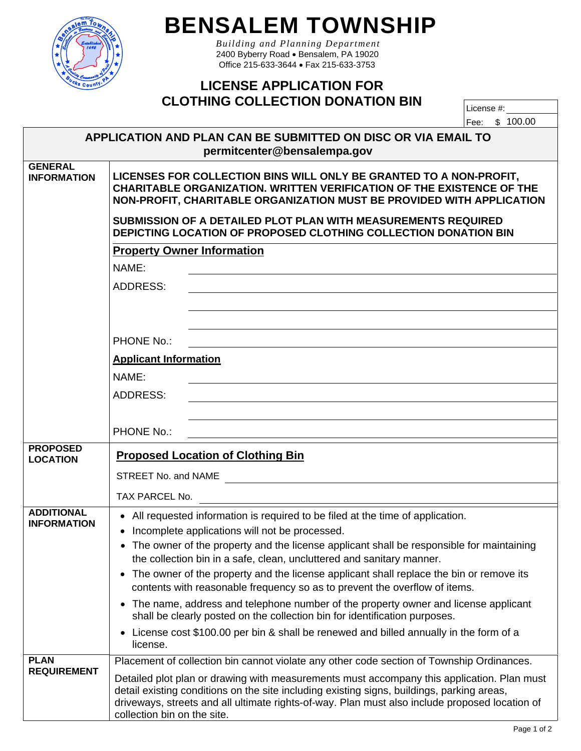

## **BENSALEM TOWNSHIP**

*Building and Planning Department*  2400 Byberry Road . Bensalem, PA 19020 Office 215-633-3644 Fax 215-633-3753

## **LICENSE APPLICATION FOR CLOTHING COLLECTION DONATION BIN**

| License #: |  |          |  |  |  |
|------------|--|----------|--|--|--|
| Fee:       |  | \$100.00 |  |  |  |

|                                         | APPLICATION AND PLAN CAN BE SUBMITTED ON DISC OR VIA EMAIL TO<br>permitcenter@bensalempa.gov                                                                                                                                                                                                                                                                           |  |  |  |  |  |
|-----------------------------------------|------------------------------------------------------------------------------------------------------------------------------------------------------------------------------------------------------------------------------------------------------------------------------------------------------------------------------------------------------------------------|--|--|--|--|--|
| <b>GENERAL</b><br><b>INFORMATION</b>    | LICENSES FOR COLLECTION BINS WILL ONLY BE GRANTED TO A NON-PROFIT,<br><b>CHARITABLE ORGANIZATION. WRITTEN VERIFICATION OF THE EXISTENCE OF THE</b><br>NON-PROFIT, CHARITABLE ORGANIZATION MUST BE PROVIDED WITH APPLICATION<br>SUBMISSION OF A DETAILED PLOT PLAN WITH MEASUREMENTS REQUIRED<br><b>DEPICTING LOCATION OF PROPOSED CLOTHING COLLECTION DONATION BIN</b> |  |  |  |  |  |
|                                         | <b>Property Owner Information</b>                                                                                                                                                                                                                                                                                                                                      |  |  |  |  |  |
|                                         | NAME:                                                                                                                                                                                                                                                                                                                                                                  |  |  |  |  |  |
|                                         | <b>ADDRESS:</b>                                                                                                                                                                                                                                                                                                                                                        |  |  |  |  |  |
|                                         |                                                                                                                                                                                                                                                                                                                                                                        |  |  |  |  |  |
|                                         |                                                                                                                                                                                                                                                                                                                                                                        |  |  |  |  |  |
|                                         | PHONE No.:                                                                                                                                                                                                                                                                                                                                                             |  |  |  |  |  |
|                                         | <b>Applicant Information</b>                                                                                                                                                                                                                                                                                                                                           |  |  |  |  |  |
|                                         | NAME:                                                                                                                                                                                                                                                                                                                                                                  |  |  |  |  |  |
|                                         | <b>ADDRESS:</b>                                                                                                                                                                                                                                                                                                                                                        |  |  |  |  |  |
|                                         | PHONE No.:                                                                                                                                                                                                                                                                                                                                                             |  |  |  |  |  |
| <b>PROPOSED</b>                         |                                                                                                                                                                                                                                                                                                                                                                        |  |  |  |  |  |
| <b>LOCATION</b>                         | <b>Proposed Location of Clothing Bin</b>                                                                                                                                                                                                                                                                                                                               |  |  |  |  |  |
|                                         | STREET No. and NAME                                                                                                                                                                                                                                                                                                                                                    |  |  |  |  |  |
|                                         | TAX PARCEL No.                                                                                                                                                                                                                                                                                                                                                         |  |  |  |  |  |
| <b>ADDITIONAL</b><br><b>INFORMATION</b> | • All requested information is required to be filed at the time of application.                                                                                                                                                                                                                                                                                        |  |  |  |  |  |
|                                         | Incomplete applications will not be processed.<br>• The owner of the property and the license applicant shall be responsible for maintaining                                                                                                                                                                                                                           |  |  |  |  |  |
|                                         | the collection bin in a safe, clean, uncluttered and sanitary manner.                                                                                                                                                                                                                                                                                                  |  |  |  |  |  |
|                                         | The owner of the property and the license applicant shall replace the bin or remove its<br>٠                                                                                                                                                                                                                                                                           |  |  |  |  |  |
|                                         | contents with reasonable frequency so as to prevent the overflow of items.                                                                                                                                                                                                                                                                                             |  |  |  |  |  |
|                                         | The name, address and telephone number of the property owner and license applicant<br>$\bullet$<br>shall be clearly posted on the collection bin for identification purposes.                                                                                                                                                                                          |  |  |  |  |  |
|                                         | License cost \$100.00 per bin & shall be renewed and billed annually in the form of a<br>$\bullet$<br>license.                                                                                                                                                                                                                                                         |  |  |  |  |  |
| <b>PLAN</b><br><b>REQUIREMENT</b>       | Placement of collection bin cannot violate any other code section of Township Ordinances.                                                                                                                                                                                                                                                                              |  |  |  |  |  |
|                                         | Detailed plot plan or drawing with measurements must accompany this application. Plan must<br>detail existing conditions on the site including existing signs, buildings, parking areas,<br>driveways, streets and all ultimate rights-of-way. Plan must also include proposed location of<br>collection bin on the site.                                              |  |  |  |  |  |